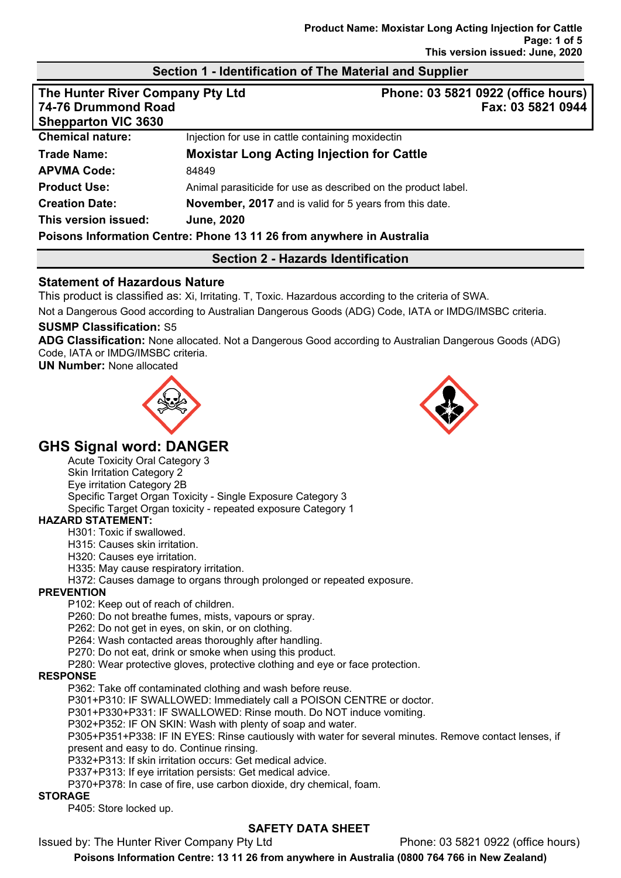# **Section 1 - Identification of The Material and Supplier**

| The Hunter River Company Pty Ltd<br>74-76 Drummond Road |                                                                       |                   | Phone: 03 5821 0922 (office hours) |
|---------------------------------------------------------|-----------------------------------------------------------------------|-------------------|------------------------------------|
|                                                         |                                                                       | Fax: 03 5821 0944 |                                    |
| <b>Shepparton VIC 3630</b>                              |                                                                       |                   |                                    |
| <b>Chemical nature:</b>                                 | Injection for use in cattle containing moxidectin                     |                   |                                    |
| <b>Trade Name:</b>                                      | <b>Moxistar Long Acting Injection for Cattle</b>                      |                   |                                    |
| <b>APVMA Code:</b>                                      | 84849                                                                 |                   |                                    |
| <b>Product Use:</b>                                     | Animal parasiticide for use as described on the product label.        |                   |                                    |
| <b>Creation Date:</b>                                   | <b>November, 2017</b> and is valid for 5 years from this date.        |                   |                                    |
| This version issued:                                    | <b>June, 2020</b>                                                     |                   |                                    |
|                                                         | Poisons Information Centre: Phone 13 11 26 from anywhere in Australia |                   |                                    |

# **Section 2 - Hazards Identification**

# **Statement of Hazardous Nature**

This product is classified as: Xi, Irritating. T, Toxic. Hazardous according to the criteria of SWA.

Not a Dangerous Good according to Australian Dangerous Goods (ADG) Code, IATA or IMDG/IMSBC criteria.

#### **SUSMP Classification:** S5

**ADG Classification:** None allocated. Not a Dangerous Good according to Australian Dangerous Goods (ADG) Code, IATA or IMDG/IMSBC criteria.

**UN Number:** None allocated





# **GHS Signal word: DANGER**

Acute Toxicity Oral Category 3 Skin Irritation Category 2 Eye irritation Category 2B Specific Target Organ Toxicity - Single Exposure Category 3 Specific Target Organ toxicity - repeated exposure Category 1

# **HAZARD STATEMENT:**

H301: Toxic if swallowed.

H315: Causes skin irritation.

H320: Causes eye irritation.

H335: May cause respiratory irritation.

H372: Causes damage to organs through prolonged or repeated exposure.

#### **PREVENTION**

P102: Keep out of reach of children.

P260: Do not breathe fumes, mists, vapours or spray.

P262: Do not get in eyes, on skin, or on clothing.

P264: Wash contacted areas thoroughly after handling.

P270: Do not eat, drink or smoke when using this product.

P280: Wear protective gloves, protective clothing and eye or face protection.

#### **RESPONSE**

P362: Take off contaminated clothing and wash before reuse.

P301+P310: IF SWALLOWED: Immediately call a POISON CENTRE or doctor.

P301+P330+P331: IF SWALLOWED: Rinse mouth. Do NOT induce vomiting.

P302+P352: IF ON SKIN: Wash with plenty of soap and water.

P305+P351+P338: IF IN EYES: Rinse cautiously with water for several minutes. Remove contact lenses, if present and easy to do. Continue rinsing.

P332+P313: If skin irritation occurs: Get medical advice.

P337+P313: If eye irritation persists: Get medical advice.

P370+P378: In case of fire, use carbon dioxide, dry chemical, foam.

#### **STORAGE**

P405: Store locked up.

# **SAFETY DATA SHEET**

Issued by: The Hunter River Company Pty Ltd Phone: 03 5821 0922 (office hours)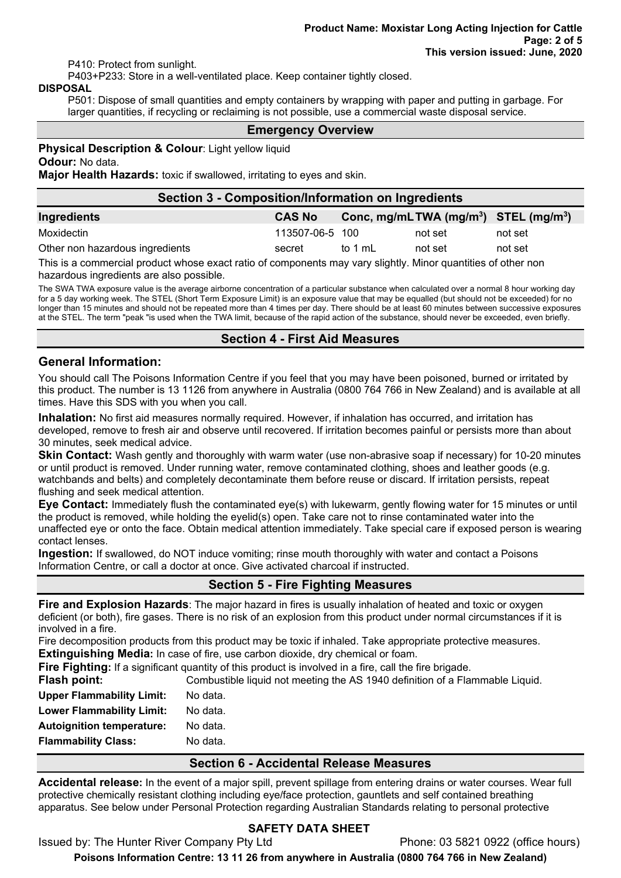P410: Protect from sunlight.

P403+P233: Store in a well-ventilated place. Keep container tightly closed.

#### **DISPOSAL**

P501: Dispose of small quantities and empty containers by wrapping with paper and putting in garbage. For larger quantities, if recycling or reclaiming is not possible, use a commercial waste disposal service.

#### **Emergency Overview**

**Physical Description & Colour: Light yellow liquid** 

#### **Odour:** No data.

**Major Health Hazards:** toxic if swallowed, irritating to eyes and skin.

#### **Section 3 - Composition/Information on Ingredients**

| Ingredients                     | <b>CAS No</b>   |         | Conc, mg/mLTWA (mg/m <sup>3</sup> ) STEL (mg/m <sup>3</sup> ) |         |
|---------------------------------|-----------------|---------|---------------------------------------------------------------|---------|
| Moxidectin                      | 113507-06-5 100 |         | not set                                                       | not set |
| Other non hazardous ingredients | secret          | to 1 mL | not set                                                       | not set |

This is a commercial product whose exact ratio of components may vary slightly. Minor quantities of other non hazardous ingredients are also possible.

The SWA TWA exposure value is the average airborne concentration of a particular substance when calculated over a normal 8 hour working day for a 5 day working week. The STEL (Short Term Exposure Limit) is an exposure value that may be equalled (but should not be exceeded) for no longer than 15 minutes and should not be repeated more than 4 times per day. There should be at least 60 minutes between successive exposures at the STEL. The term "peak "is used when the TWA limit, because of the rapid action of the substance, should never be exceeded, even briefly.

# **Section 4 - First Aid Measures**

# **General Information:**

You should call The Poisons Information Centre if you feel that you may have been poisoned, burned or irritated by this product. The number is 13 1126 from anywhere in Australia (0800 764 766 in New Zealand) and is available at all times. Have this SDS with you when you call.

**Inhalation:** No first aid measures normally required. However, if inhalation has occurred, and irritation has developed, remove to fresh air and observe until recovered. If irritation becomes painful or persists more than about 30 minutes, seek medical advice.

**Skin Contact:** Wash gently and thoroughly with warm water (use non-abrasive soap if necessary) for 10-20 minutes or until product is removed. Under running water, remove contaminated clothing, shoes and leather goods (e.g. watchbands and belts) and completely decontaminate them before reuse or discard. If irritation persists, repeat flushing and seek medical attention.

**Eye Contact:** Immediately flush the contaminated eye(s) with lukewarm, gently flowing water for 15 minutes or until the product is removed, while holding the eyelid(s) open. Take care not to rinse contaminated water into the unaffected eye or onto the face. Obtain medical attention immediately. Take special care if exposed person is wearing contact lenses.

**Ingestion:** If swallowed, do NOT induce vomiting; rinse mouth thoroughly with water and contact a Poisons Information Centre, or call a doctor at once. Give activated charcoal if instructed.

# **Section 5 - Fire Fighting Measures**

**Fire and Explosion Hazards**: The major hazard in fires is usually inhalation of heated and toxic or oxygen deficient (or both), fire gases. There is no risk of an explosion from this product under normal circumstances if it is involved in a fire.

Fire decomposition products from this product may be toxic if inhaled. Take appropriate protective measures. **Extinguishing Media:** In case of fire, use carbon dioxide, dry chemical or foam.

**Fire Fighting:** If a significant quantity of this product is involved in a fire, call the fire brigade.

| Flash point:                     | Combustible liquid not meeting the AS 1940 definition of a Flammable Liquid. |
|----------------------------------|------------------------------------------------------------------------------|
| <b>Upper Flammability Limit:</b> | No data.                                                                     |
| <b>Lower Flammability Limit:</b> | No data.                                                                     |
| <b>Autoignition temperature:</b> | No data.                                                                     |
| <b>Flammability Class:</b>       | No data.                                                                     |

# **Section 6 - Accidental Release Measures**

**Accidental release:** In the event of a major spill, prevent spillage from entering drains or water courses. Wear full protective chemically resistant clothing including eye/face protection, gauntlets and self contained breathing apparatus. See below under Personal Protection regarding Australian Standards relating to personal protective

# **SAFETY DATA SHEET**

Issued by: The Hunter River Company Pty Ltd Phone: 03 5821 0922 (office hours)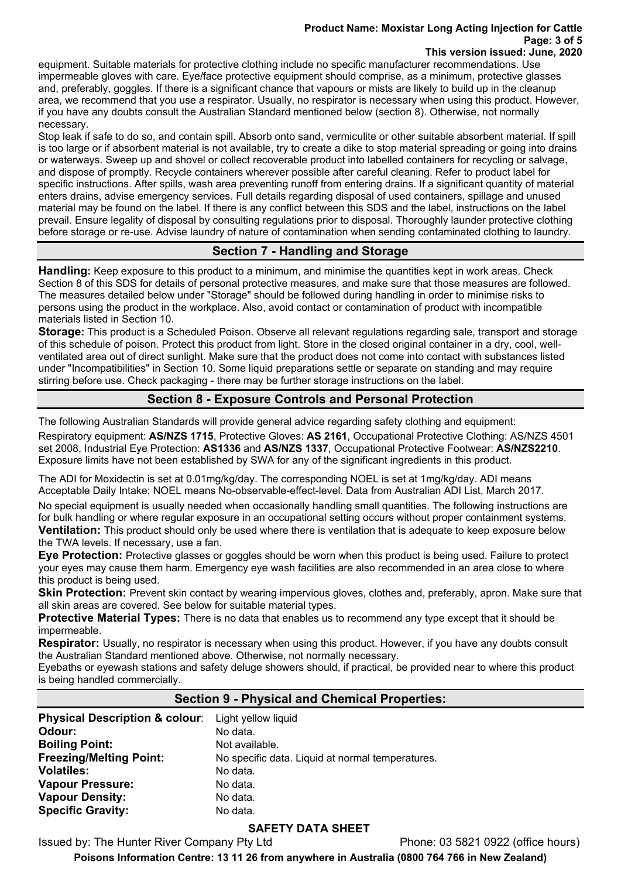#### **Product Name: Moxistar Long Acting Injection for Cattle Page: 3 of 5 This version issued: June, 2020**

equipment. Suitable materials for protective clothing include no specific manufacturer recommendations. Use impermeable gloves with care. Eye/face protective equipment should comprise, as a minimum, protective glasses and, preferably, goggles. If there is a significant chance that vapours or mists are likely to build up in the cleanup area, we recommend that you use a respirator. Usually, no respirator is necessary when using this product. However, if you have any doubts consult the Australian Standard mentioned below (section 8). Otherwise, not normally necessary.

Stop leak if safe to do so, and contain spill. Absorb onto sand, vermiculite or other suitable absorbent material. If spill is too large or if absorbent material is not available, try to create a dike to stop material spreading or going into drains or waterways. Sweep up and shovel or collect recoverable product into labelled containers for recycling or salvage, and dispose of promptly. Recycle containers wherever possible after careful cleaning. Refer to product label for specific instructions. After spills, wash area preventing runoff from entering drains. If a significant quantity of material enters drains, advise emergency services. Full details regarding disposal of used containers, spillage and unused material may be found on the label. If there is any conflict between this SDS and the label, instructions on the label prevail. Ensure legality of disposal by consulting regulations prior to disposal. Thoroughly launder protective clothing before storage or re-use. Advise laundry of nature of contamination when sending contaminated clothing to laundry.

# **Section 7 - Handling and Storage**

**Handling:** Keep exposure to this product to a minimum, and minimise the quantities kept in work areas. Check Section 8 of this SDS for details of personal protective measures, and make sure that those measures are followed. The measures detailed below under "Storage" should be followed during handling in order to minimise risks to persons using the product in the workplace. Also, avoid contact or contamination of product with incompatible materials listed in Section 10.

**Storage:** This product is a Scheduled Poison. Observe all relevant regulations regarding sale, transport and storage of this schedule of poison. Protect this product from light. Store in the closed original container in a dry, cool, wellventilated area out of direct sunlight. Make sure that the product does not come into contact with substances listed under "Incompatibilities" in Section 10. Some liquid preparations settle or separate on standing and may require stirring before use. Check packaging - there may be further storage instructions on the label.

# **Section 8 - Exposure Controls and Personal Protection**

The following Australian Standards will provide general advice regarding safety clothing and equipment:

Respiratory equipment: **AS/NZS 1715**, Protective Gloves: **AS 2161**, Occupational Protective Clothing: AS/NZS 4501 set 2008, Industrial Eye Protection: **AS1336** and **AS/NZS 1337**, Occupational Protective Footwear: **AS/NZS2210**. Exposure limits have not been established by SWA for any of the significant ingredients in this product.

The ADI for Moxidectin is set at 0.01mg/kg/day. The corresponding NOEL is set at 1mg/kg/day. ADI means Acceptable Daily Intake; NOEL means No-observable-effect-level. Data from Australian ADI List, March 2017.

No special equipment is usually needed when occasionally handling small quantities. The following instructions are for bulk handling or where regular exposure in an occupational setting occurs without proper containment systems. **Ventilation:** This product should only be used where there is ventilation that is adequate to keep exposure below the TWA levels. If necessary, use a fan.

**Eye Protection:** Protective glasses or goggles should be worn when this product is being used. Failure to protect your eyes may cause them harm. Emergency eye wash facilities are also recommended in an area close to where this product is being used.

**Skin Protection:** Prevent skin contact by wearing impervious gloves, clothes and, preferably, apron. Make sure that all skin areas are covered. See below for suitable material types.

**Protective Material Types:** There is no data that enables us to recommend any type except that it should be impermeable.

**Respirator:** Usually, no respirator is necessary when using this product. However, if you have any doubts consult the Australian Standard mentioned above. Otherwise, not normally necessary.

Eyebaths or eyewash stations and safety deluge showers should, if practical, be provided near to where this product is being handled commercially.

# **Section 9 - Physical and Chemical Properties:**

| <b>Physical Description &amp; colour:</b> Light yellow liquid |                                                  |
|---------------------------------------------------------------|--------------------------------------------------|
| Odour:                                                        | No data.                                         |
| <b>Boiling Point:</b>                                         | Not available.                                   |
| <b>Freezing/Melting Point:</b>                                | No specific data. Liquid at normal temperatures. |
| <b>Volatiles:</b>                                             | No data.                                         |
| <b>Vapour Pressure:</b>                                       | No data.                                         |
| <b>Vapour Density:</b>                                        | No data.                                         |
| <b>Specific Gravity:</b>                                      | No data.                                         |

# **SAFETY DATA SHEET**

Issued by: The Hunter River Company Pty Ltd Phone: 03 5821 0922 (office hours)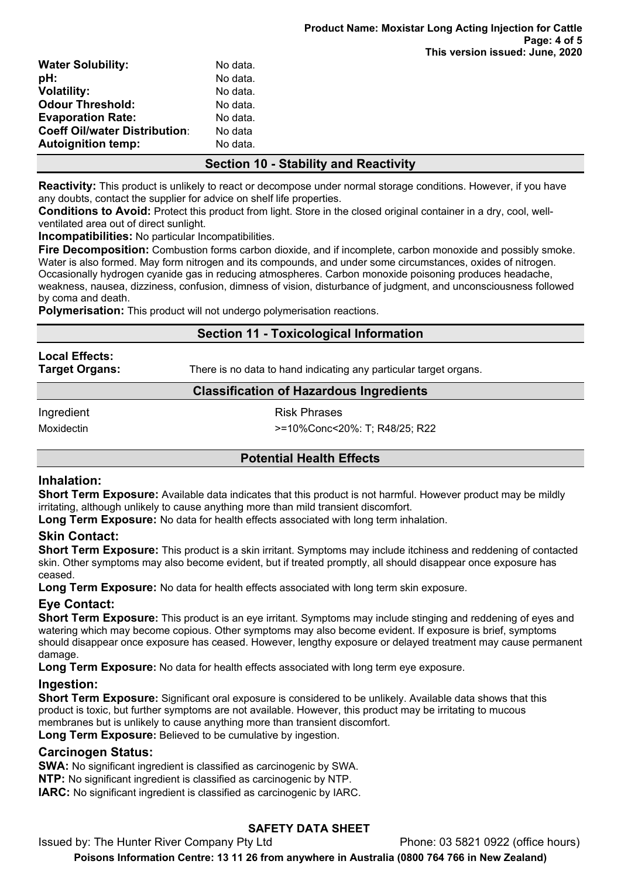| <b>Water Solubility:</b>             | No data. |  |
|--------------------------------------|----------|--|
| pH:                                  | No data. |  |
| <b>Volatility:</b>                   | No data. |  |
| <b>Odour Threshold:</b>              | No data. |  |
| <b>Evaporation Rate:</b>             | No data. |  |
| <b>Coeff Oil/water Distribution:</b> | No data  |  |
| <b>Autoignition temp:</b>            | No data. |  |
|                                      |          |  |

# **Section 10 - Stability and Reactivity**

**Reactivity:** This product is unlikely to react or decompose under normal storage conditions. However, if you have any doubts, contact the supplier for advice on shelf life properties.

**Conditions to Avoid:** Protect this product from light. Store in the closed original container in a dry, cool, wellventilated area out of direct sunlight.

**Incompatibilities:** No particular Incompatibilities.

**Fire Decomposition:** Combustion forms carbon dioxide, and if incomplete, carbon monoxide and possibly smoke. Water is also formed. May form nitrogen and its compounds, and under some circumstances, oxides of nitrogen. Occasionally hydrogen cyanide gas in reducing atmospheres. Carbon monoxide poisoning produces headache, weakness, nausea, dizziness, confusion, dimness of vision, disturbance of judgment, and unconsciousness followed by coma and death.

**Polymerisation:** This product will not undergo polymerisation reactions.

# **Section 11 - Toxicological Information**

**Local Effects:** 

**Target Organs:** There is no data to hand indicating any particular target organs.

# **Classification of Hazardous Ingredients**

Ingredient **Risk Phrases** 

Moxidectin >=10%Conc<20%: T; R48/25; R22

# **Potential Health Effects**

# **Inhalation:**

**Short Term Exposure:** Available data indicates that this product is not harmful. However product may be mildly irritating, although unlikely to cause anything more than mild transient discomfort.

**Long Term Exposure:** No data for health effects associated with long term inhalation.

# **Skin Contact:**

**Short Term Exposure:** This product is a skin irritant. Symptoms may include itchiness and reddening of contacted skin. Other symptoms may also become evident, but if treated promptly, all should disappear once exposure has ceased.

**Long Term Exposure:** No data for health effects associated with long term skin exposure.

# **Eye Contact:**

**Short Term Exposure:** This product is an eye irritant. Symptoms may include stinging and reddening of eyes and watering which may become copious. Other symptoms may also become evident. If exposure is brief, symptoms should disappear once exposure has ceased. However, lengthy exposure or delayed treatment may cause permanent damage.

**Long Term Exposure:** No data for health effects associated with long term eye exposure.

# **Ingestion:**

**Short Term Exposure:** Significant oral exposure is considered to be unlikely. Available data shows that this product is toxic, but further symptoms are not available. However, this product may be irritating to mucous membranes but is unlikely to cause anything more than transient discomfort.

Long Term Exposure: Believed to be cumulative by ingestion.

# **Carcinogen Status:**

**SWA:** No significant ingredient is classified as carcinogenic by SWA.

**NTP:** No significant ingredient is classified as carcinogenic by NTP.

**IARC:** No significant ingredient is classified as carcinogenic by IARC.

# **SAFETY DATA SHEET**

Issued by: The Hunter River Company Pty Ltd Phone: 03 5821 0922 (office hours)